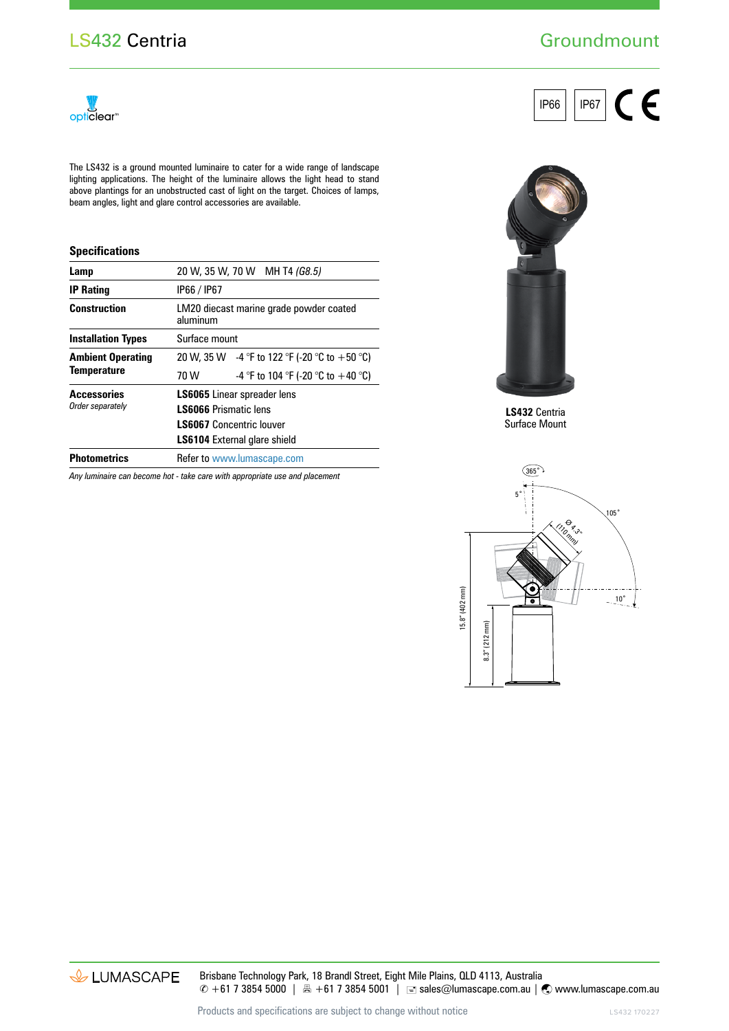## **Groundmount**

CE

IP66 | | IP67



The LS432 is a ground mounted luminaire to cater for a wide range of landscape lighting applications. The height of the luminaire allows the light head to stand above plantings for an unobstructed cast of light on the target. Choices of lamps, beam angles, light and glare control accessories are available.

## **Specifications**

| Lamp                                   |                                     | 20 W, 35 W, 70 W MH T4 (G8.5)                                                                                                      |  |  |  |  |  |  |
|----------------------------------------|-------------------------------------|------------------------------------------------------------------------------------------------------------------------------------|--|--|--|--|--|--|
| <b>IP Rating</b>                       | IP66 / IP67                         |                                                                                                                                    |  |  |  |  |  |  |
| <b>Construction</b>                    | aluminum                            | LM20 diecast marine grade powder coated<br>20 W, 35 W $-4$ °F to 122 °F (-20 °C to +50 °C)<br>-4 °F to 104 °F (-20 °C to $+40$ °C) |  |  |  |  |  |  |
| <b>Installation Types</b>              |                                     | Surface mount                                                                                                                      |  |  |  |  |  |  |
| <b>Ambient Operating</b>               |                                     |                                                                                                                                    |  |  |  |  |  |  |
| <b>Temperature</b>                     | 70 W                                |                                                                                                                                    |  |  |  |  |  |  |
| <b>Accessories</b><br>Order separately | <b>LS6065</b> Linear spreader lens  |                                                                                                                                    |  |  |  |  |  |  |
|                                        | <b>LS6066 Prismatic lens</b>        |                                                                                                                                    |  |  |  |  |  |  |
|                                        | <b>LS6067</b> Concentric louver     |                                                                                                                                    |  |  |  |  |  |  |
|                                        | <b>LS6104</b> External glare shield |                                                                                                                                    |  |  |  |  |  |  |
| <b>Photometrics</b>                    |                                     | <b>Refer to www.lumascape.com</b>                                                                                                  |  |  |  |  |  |  |
|                                        |                                     |                                                                                                                                    |  |  |  |  |  |  |

*Any luminaire can become hot - take care with appropriate use and placement*



**LS432** Centria Surface Mount





Brisbane Technology Park, 18 Brandl Street, Eight Mile Plains, QLD 4113, Australia  $\degree$  +61 7 3854 5000 | A +61 7 3854 5001 | ■ sales@lumascape.com.au |  $\degree$  www.lumascape.com.au